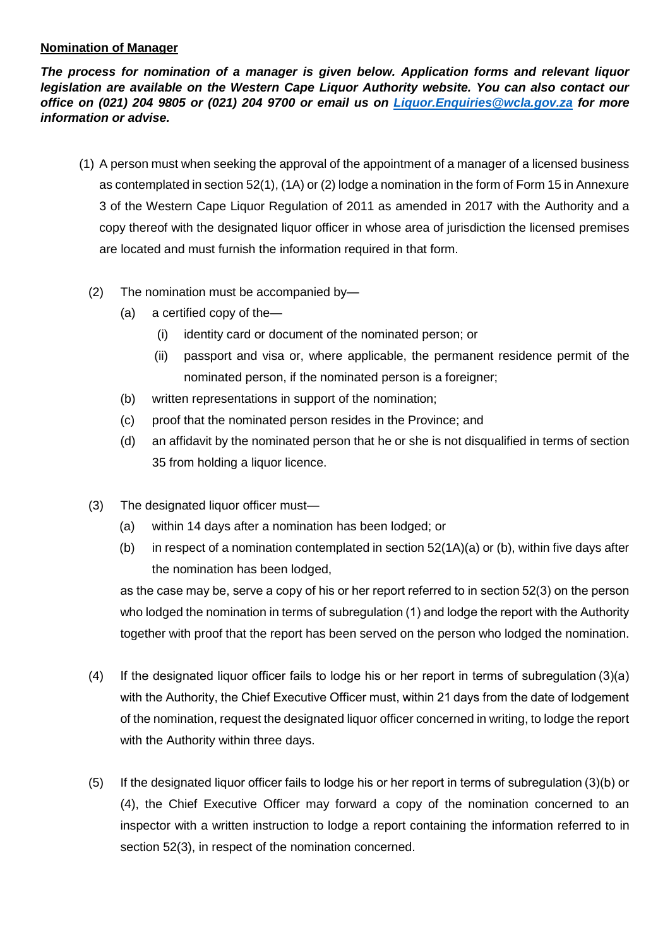## **Nomination of Manager**

*The process for nomination of a manager is given below. Application forms and relevant liquor legislation are available on the Western Cape Liquor Authority website. You can also contact our office on (021) 204 9805 or (021) 204 9700 or email us on [Liquor.Enquiries@wcla.gov.za](mailto:Liquor.Enquiries@wcla.gov.za) for more information or advise.* 

- (1) A person must when seeking the approval of the appointment of a manager of a licensed business as contemplated in section 52(1), (1A) or (2) lodge a nomination in the form of Form 15 in Annexure 3 of the Western Cape Liquor Regulation of 2011 as amended in 2017 with the Authority and a copy thereof with the designated liquor officer in whose area of jurisdiction the licensed premises are located and must furnish the information required in that form.
	- (2) The nomination must be accompanied by—
		- (a) a certified copy of the—
			- (i) identity card or document of the nominated person; or
			- (ii) passport and visa or, where applicable, the permanent residence permit of the nominated person, if the nominated person is a foreigner;
		- (b) written representations in support of the nomination;
		- (c) proof that the nominated person resides in the Province; and
		- (d) an affidavit by the nominated person that he or she is not disqualified in terms of section 35 from holding a liquor licence.
	- (3) The designated liquor officer must—
		- (a) within 14 days after a nomination has been lodged; or
		- (b) in respect of a nomination contemplated in section  $52(1A)(a)$  or (b), within five days after the nomination has been lodged,

as the case may be, serve a copy of his or her report referred to in section 52(3) on the person who lodged the nomination in terms of subregulation (1) and lodge the report with the Authority together with proof that the report has been served on the person who lodged the nomination.

- (4) If the designated liquor officer fails to lodge his or her report in terms of subregulation (3)(a) with the Authority, the Chief Executive Officer must, within 21 days from the date of lodgement of the nomination, request the designated liquor officer concerned in writing, to lodge the report with the Authority within three days.
- (5) If the designated liquor officer fails to lodge his or her report in terms of subregulation (3)(b) or (4), the Chief Executive Officer may forward a copy of the nomination concerned to an inspector with a written instruction to lodge a report containing the information referred to in section 52(3), in respect of the nomination concerned.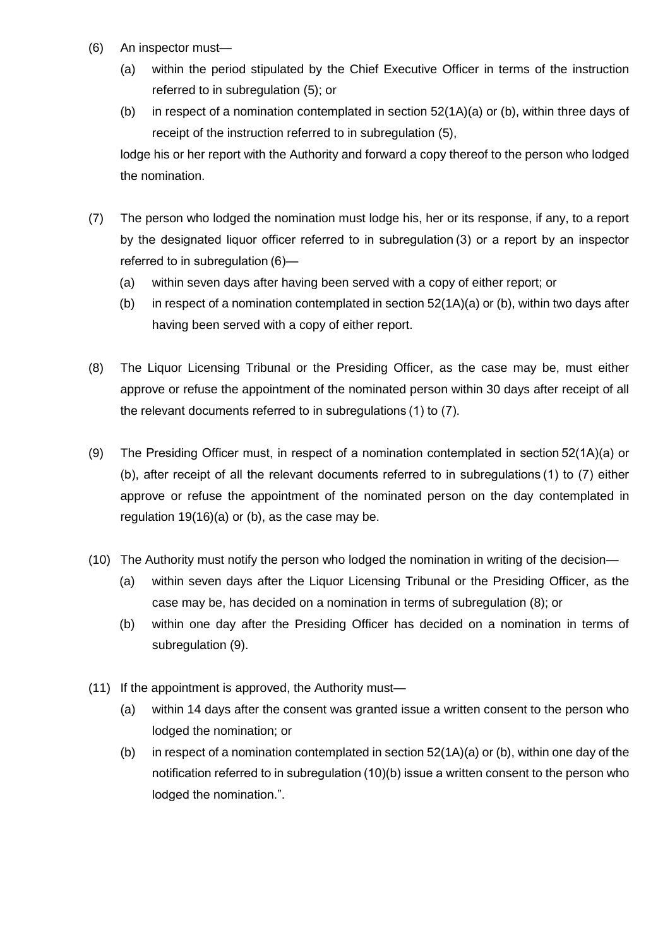- (6) An inspector must—
	- (a) within the period stipulated by the Chief Executive Officer in terms of the instruction referred to in subregulation (5); or
	- (b) in respect of a nomination contemplated in section 52(1A)(a) or (b), within three days of receipt of the instruction referred to in subregulation (5),

lodge his or her report with the Authority and forward a copy thereof to the person who lodged the nomination.

- (7) The person who lodged the nomination must lodge his, her or its response, if any, to a report by the designated liquor officer referred to in subregulation (3) or a report by an inspector referred to in subregulation (6)—
	- (a) within seven days after having been served with a copy of either report; or
	- (b) in respect of a nomination contemplated in section  $52(1A)(a)$  or (b), within two days after having been served with a copy of either report.
- (8) The Liquor Licensing Tribunal or the Presiding Officer, as the case may be, must either approve or refuse the appointment of the nominated person within 30 days after receipt of all the relevant documents referred to in subregulations (1) to (7).
- (9) The Presiding Officer must, in respect of a nomination contemplated in section 52(1A)(a) or (b), after receipt of all the relevant documents referred to in subregulations (1) to (7) either approve or refuse the appointment of the nominated person on the day contemplated in regulation 19(16)(a) or (b), as the case may be.
- (10) The Authority must notify the person who lodged the nomination in writing of the decision—
	- (a) within seven days after the Liquor Licensing Tribunal or the Presiding Officer, as the case may be, has decided on a nomination in terms of subregulation (8); or
	- (b) within one day after the Presiding Officer has decided on a nomination in terms of subregulation (9).
- (11) If the appointment is approved, the Authority must—
	- (a) within 14 days after the consent was granted issue a written consent to the person who lodged the nomination; or
	- (b) in respect of a nomination contemplated in section  $52(1A)(a)$  or (b), within one day of the notification referred to in subregulation (10)(b) issue a written consent to the person who lodged the nomination.".